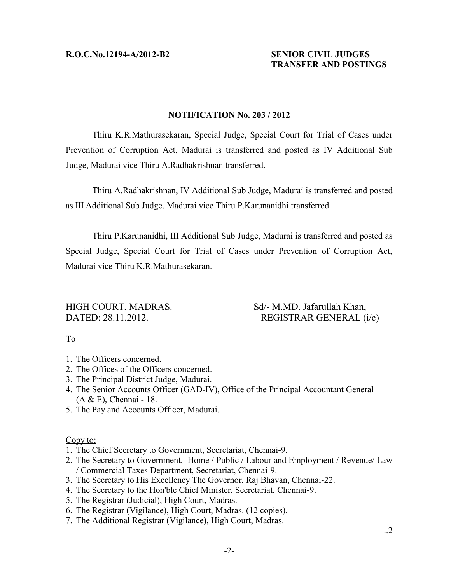## **R.O.C.No.12194-A/2012-B2 SENIOR CIVIL JUDGES**

## **TRANSFER AND POSTINGS**

## **NOTIFICATION No. 203 / 2012**

Thiru K.R.Mathurasekaran, Special Judge, Special Court for Trial of Cases under Prevention of Corruption Act, Madurai is transferred and posted as IV Additional Sub Judge, Madurai vice Thiru A.Radhakrishnan transferred.

Thiru A.Radhakrishnan, IV Additional Sub Judge, Madurai is transferred and posted as III Additional Sub Judge, Madurai vice Thiru P.Karunanidhi transferred

Thiru P.Karunanidhi, III Additional Sub Judge, Madurai is transferred and posted as Special Judge, Special Court for Trial of Cases under Prevention of Corruption Act, Madurai vice Thiru K.R.Mathurasekaran.

HIGH COURT, MADRAS. Sd/- M.MD. Jafarullah Khan, DATED: 28.11.2012. REGISTRAR GENERAL (i/c)

To

- 1. The Officers concerned.
- 2. The Offices of the Officers concerned.
- 3. The Principal District Judge, Madurai.
- 4. The Senior Accounts Officer (GAD-IV), Office of the Principal Accountant General  $(A & E)$ , Chennai - 18.
- 5. The Pay and Accounts Officer, Madurai.

Copy to:

- 1. The Chief Secretary to Government, Secretariat, Chennai-9.
- 2. The Secretary to Government, Home / Public / Labour and Employment / Revenue/ Law / Commercial Taxes Department, Secretariat, Chennai-9.
- 3. The Secretary to His Excellency The Governor, Raj Bhavan, Chennai-22.
- 4. The Secretary to the Hon'ble Chief Minister, Secretariat, Chennai-9.
- 5. The Registrar (Judicial), High Court, Madras.
- 6. The Registrar (Vigilance), High Court, Madras. (12 copies).
- 7. The Additional Registrar (Vigilance), High Court, Madras.

..2